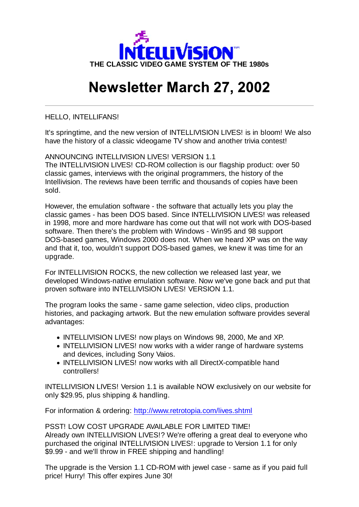

## **Newsletter March 27, 2002**

HELLO, INTELLIFANS!

It's springtime, and the new version of INTELLIVISION LIVES! is in bloom! We also have the history of a classic videogame TV show and another trivia contest!

ANNOUNCING INTELLIVISION LIVES! VERSION 1.1 The INTELLIVISION LIVES! CD-ROM collection is our flagship product: over 50 classic games, interviews with the original programmers, the history of the Intellivision. The reviews have been terrific and thousands of copies have been sold.

However, the emulation software - the software that actually lets you play the classic games - has been DOS based. Since INTELLIVISION LIVES! was released in 1998, more and more hardware has come out that will not work with DOS-based software. Then there's the problem with Windows - Win95 and 98 support DOS-based games, Windows 2000 does not. When we heard XP was on the way and that it, too, wouldn't support DOS-based games, we knew it was time for an upgrade.

For INTELLIVISION ROCKS, the new collection we released last year, we developed Windows-native emulation software. Now we've gone back and put that proven software into INTELLIVISION LIVES! VERSION 1.1.

The program looks the same - same game selection, video clips, production histories, and packaging artwork. But the new emulation software provides several advantages:

- INTELLIVISION LIVES! now plays on Windows 98, 2000, Me and XP.
- INTELLIVISION LIVES! now works with a wider range of hardware systems and devices, including Sony Vaios.
- INTELLIVISION LIVES! now works with all DirectX-compatible hand controllers!

INTELLIVISION LIVES! Version 1.1 is available NOW exclusively on our website for only \$29.95, plus shipping & handling.

For information & ordering: http://www.retrotopia.com/lives.shtml

PSST! LOW COST UPGRADE AVAILABLE FOR LIMITED TIME! Already own INTELLIVISION LIVES!? We're offering a great deal to everyone who purchased the original INTELLIVISION LIVES!: upgrade to Version 1.1 for only \$9.99 - and we'll throw in FREE shipping and handling!

The upgrade is the Version 1.1 CD-ROM with jewel case - same as if you paid full price! Hurry! This offer expires June 30!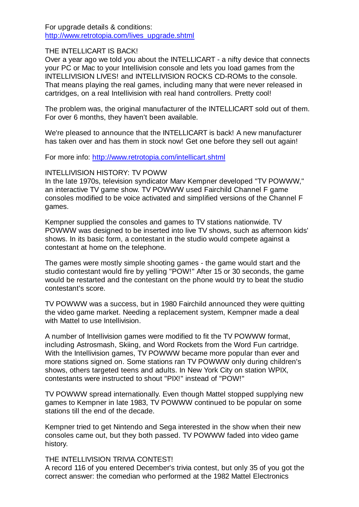For upgrade details & conditions: http://www.retrotopia.com/lives\_upgrade.shtml

## THE INTELLICART IS BACK!

Over a year ago we told you about the INTELLICART - a nifty device that connects your PC or Mac to your Intellivision console and lets you load games from the INTELLIVISION LIVES! and INTELLIVISION ROCKS CD-ROMs to the console. That means playing the real games, including many that were never released in cartridges, on a real Intellivision with real hand controllers. Pretty cool!

The problem was, the original manufacturer of the INTELLICART sold out of them. For over 6 months, they haven't been available.

We're pleased to announce that the INTELLICART is back! A new manufacturer has taken over and has them in stock now! Get one before they sell out again!

For more info: http://www.retrotopia.com/intellicart.shtml

## INTELLIVISION HISTORY: TV POWW

In the late 1970s, television syndicator Marv Kempner developed "TV POWWW," an interactive TV game show. TV POWWW used Fairchild Channel F game consoles modified to be voice activated and simplified versions of the Channel F games.

Kempner supplied the consoles and games to TV stations nationwide. TV POWWW was designed to be inserted into live TV shows, such as afternoon kids' shows. In its basic form, a contestant in the studio would compete against a contestant at home on the telephone.

The games were mostly simple shooting games - the game would start and the studio contestant would fire by yelling "POW!" After 15 or 30 seconds, the game would be restarted and the contestant on the phone would try to beat the studio contestant's score.

TV POWWW was a success, but in 1980 Fairchild announced they were quitting the video game market. Needing a replacement system, Kempner made a deal with Mattel to use Intellivision.

A number of Intellivision games were modified to fit the TV POWWW format, including Astrosmash, Skiing, and Word Rockets from the Word Fun cartridge. With the Intellivision games, TV POWWW became more popular than ever and more stations signed on. Some stations ran TV POWWW only during children's shows, others targeted teens and adults. In New York City on station WPIX, contestants were instructed to shout "PIX!" instead of "POW!"

TV POWWW spread internationally. Even though Mattel stopped supplying new games to Kempner in late 1983, TV POWWW continued to be popular on some stations till the end of the decade.

Kempner tried to get Nintendo and Sega interested in the show when their new consoles came out, but they both passed. TV POWWW faded into video game history.

## THE INTELLIVISION TRIVIA CONTEST!

A record 116 of you entered December's trivia contest, but only 35 of you got the correct answer: the comedian who performed at the 1982 Mattel Electronics